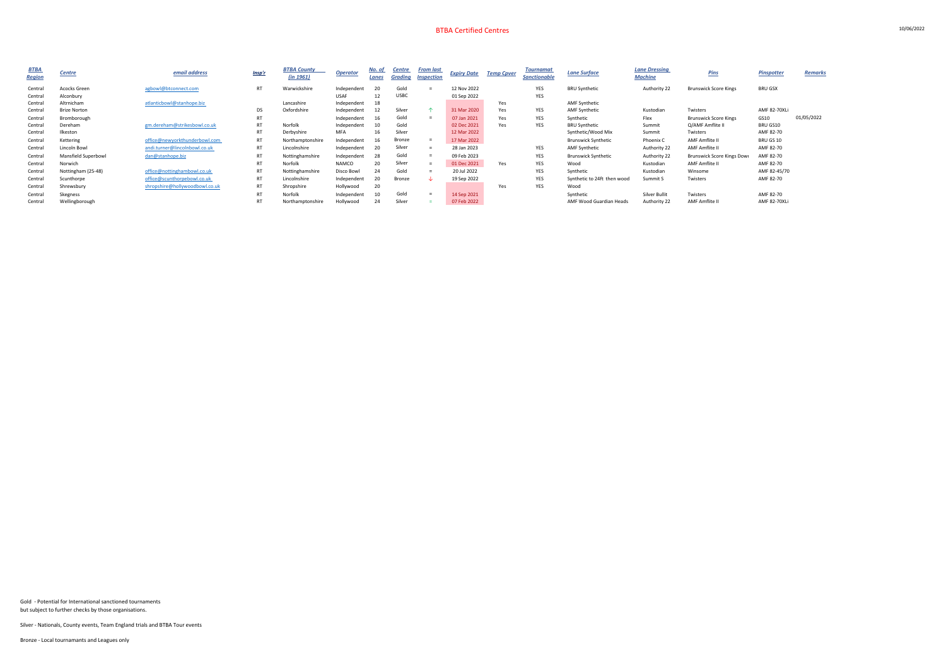| <b>BTBA</b> | Centre              | email address                  | Insp'r    | <b>BTBA County</b> | <b>Operator</b> | No. of  | <b>Centre</b>     | <b>From last</b> | <b>Expiry Date</b> | <b>Temp Cpver</b>   | <b>Tournamat</b> | <b>Lane Surface</b>         | <b>Lane Dressing</b> | <b>Pins</b>                  | <b>Pinspotter</b> | <b>Remarks</b> |
|-------------|---------------------|--------------------------------|-----------|--------------------|-----------------|---------|-------------------|------------------|--------------------|---------------------|------------------|-----------------------------|----------------------|------------------------------|-------------------|----------------|
| Region      |                     |                                |           | (in 1961)          | Lanes           | Grading | <b>Inspection</b> |                  |                    | <b>Sanctionable</b> |                  | <b>Machine</b>              |                      |                              |                   |                |
| Central     | Acocks Green        | agbowl@btconnect.com           | <b>RT</b> | Warwickshire       | Independent     | 20      | Gold              | $=$              | 12 Nov 2022        |                     | YES              | <b>BRU Synthetic</b>        | Authority 22         | <b>Brunswick Score Kings</b> | <b>BRU GSX</b>    |                |
| Central     | Alconbury           |                                |           |                    | <b>USAF</b>     | 12      | <b>USBC</b>       |                  | 01 Sep 2022        |                     | YES              |                             |                      |                              |                   |                |
| Central     | Altrnicham          | atlanticbowl@stanhope.biz      |           | Lancashire         | Independent     | 18      |                   |                  |                    | Yes                 |                  | <b>AMF Synthetic</b>        |                      |                              |                   |                |
| Central     | <b>Brize Norton</b> |                                | DS        | Oxfordshire        | Independent     | 12      | Silver            |                  | 31 Mar 2020        | Yes                 | YES              | <b>AMF Synthetic</b>        | Kustodian            | Twisters                     | AMF 82-70XLi      |                |
| Central     | Bromborough         |                                | <b>RT</b> |                    | Independent     | 16      | Gold              |                  | 07 Jan 2021        | Yes                 | YES              | Synthetic                   | Flex                 | <b>Brunswick Score Kings</b> | GS10              | 01/05/2022     |
| Central     | Dereham             | gm.dereham@strikesbowl.co.uk   | <b>RT</b> | Norfolk            | Independent     | 10      | Gold              |                  | 02 Dec 2021        | Yes                 | <b>YES</b>       | <b>BRU Synthetic</b>        | Summit               | Q/AMF Amflite II             | BRU GS10          |                |
| Central     | Ilkeston            |                                | <b>RT</b> | Derbyshire         | <b>MFA</b>      | 16      | Silver            |                  | 12 Mar 2022        |                     |                  | Synthetic/Wood Mix          | Summit               | Twisters                     | AMF 82-70         |                |
| Central     | Kettering           | office@newyorkthunderbowl.com  | <b>RT</b> | Northamptonshire   | Independent     | 16      | <b>Bronze</b>     |                  | 17 Mar 2022        |                     |                  | <b>Brunswick Synthetic</b>  | Phoenix C            | AMF Amflite II               | BRU GS 10         |                |
| Central     | Lincoln Bowl        | andi.turner@lincolnbowl.co.uk  | <b>RT</b> | Lincolnshire       | Independent     | 20      | Silver            |                  | 28 Jan 2023        |                     | YES              | <b>AMF Synthetic</b>        | Authority 22         | AMF Amflite II               | AMF 82-70         |                |
| Central     | Mansfield Superbowl | dan@stanhope.biz               | <b>RT</b> | Nottinghamshire    | Independent     | 28      | Gold              |                  | 09 Feb 2023        |                     | YES              | <b>Brunswick Synthetic</b>  | Authority 22         | Brunswick Score Kings Dowr   | AMF 82-70         |                |
| Central     | Norwich             |                                | <b>RT</b> | Norfolk            | NAMCO           | 20      | Silver            |                  | 01 Dec 2021        | Yes                 | YES              | Wood                        | Kustodian            | AMF Amflite II               | AMF 82-70         |                |
| Central     | Nottingham (25-48)  | office@nottinghambowl.co.uk    | <b>RT</b> | Nottinghamshire    | Disco Bowl      | 24      | Gold              |                  | 20 Jul 2022        |                     | <b>YES</b>       | Synthetic                   | Kustodian            | Winsome                      | AMF 82-45/70      |                |
| Central     | Scunthorpe          | office@scunthorpebowl.co.uk    | <b>RT</b> | Lincolnshire       | Independent     | 20      | Bronze            | -ste             | 19 Sep 2022        |                     | YES              | Synthetic to 24ft then wood | Summit S             | Twisters                     | AMF 82-70         |                |
| Central     | Shrewsbury          | shropshire@hollywoodbowl.co.uk | <b>RT</b> | Shropshire         | Hollywood       | 20      |                   |                  |                    | Yes                 | <b>YES</b>       | Wood                        |                      |                              |                   |                |
| Central     | Skegness            |                                | <b>RT</b> | Norfolk            | Independent     | 10      | Gold              | $=$              | 14 Sep 2021        |                     |                  | Synthetic                   | Silver Bullit        | Twisters                     | AMF 82-70         |                |
| Central     | Wellingborough      |                                | <b>RT</b> | Northamptonshire   | Hollywood       | 24      | Silver            |                  | 07 Feb 2022        |                     |                  | AMF Wood Guardian Heads     | Authority 22         | <b>AMF Amflite II</b>        | AMF 82-70XLi      |                |

Gold - Potential for International sanctioned tournaments but subject to further checks by those organisations.

Silver - Nationals, County events, Team England trials and BTBA Tour events

Bronze - Local tournamants and Leagues only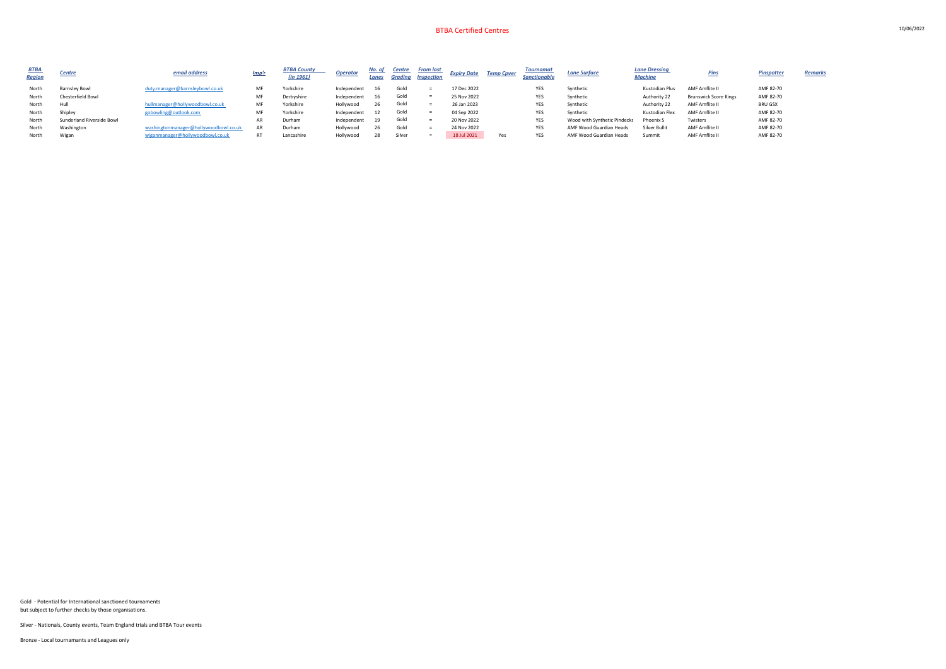| <u>BTBA</u><br><b>Region</b> | Centre                    | email address                         | <u>Insp'r</u> | <b>BTBA County</b><br>(in 1961) | <b>Operator</b> | <u>No. of</u><br>Lanes | <b>Centre</b><br><b>Grading</b> | From last<br><b>Inspection</b> | <b>Expiry Date</b> | <b>Temp Cpver</b> | Tournamat<br><b>Sanctionable</b> | <b>Lane Surface</b>          | <b>Lane Dressing</b><br><b>Machine</b> | Dine                         | <b>Pinspotter</b> | <b>Remarks</b> |
|------------------------------|---------------------------|---------------------------------------|---------------|---------------------------------|-----------------|------------------------|---------------------------------|--------------------------------|--------------------|-------------------|----------------------------------|------------------------------|----------------------------------------|------------------------------|-------------------|----------------|
| North                        | <b>Barnsley Bowl</b>      | duty.manager@barnsleybowl.co.uk       | MF            | Yorkshire                       | Independent     | 16                     | Gold                            |                                | 17 Dec 2022        |                   | YES                              | Synthetic                    | Kustodian Plus                         | AMF Amflite II               | AMF 82-70         |                |
| North                        | <b>Chesterfield Bowl</b>  |                                       | MF            | Derbyshire                      | Independent     | 16                     | Gold                            |                                | 25 Nov 2022        |                   | YES                              | Synthetic                    | Authority 22                           | <b>Brunswick Score Kings</b> | AMF 82-70         |                |
| North                        | Hull                      | hullmanager@hollywoodbowl.co.uk       | MF            | Yorkshire                       | Hollywood       | 26                     | Gold                            |                                | 26 Jan 2023        |                   | YES                              | Synthetic                    | Authority 22                           | AMF Amflite II               | <b>BRU GSX</b>    |                |
| North                        | Shipley                   | gobowling@outlook.com                 | MF            | Yorkshire                       | Independent     | 12                     | Gold                            |                                | 04 Sep 2022        |                   | YES                              | Synthetic                    | Kustodian Flex                         | AMF Amflite II               | AMF 82-70         |                |
| North                        | Sunderland Riverside Bowl |                                       | AR            | Durham                          | Independent     | 19                     | Gold                            |                                | 20 Nov 2022        |                   | YES                              | Wood with Synthetic Pindecks | Phoenix S                              | Twisters                     | AMF 82-70         |                |
| North                        | Washington                | washingtonmanager@hollywoodbowl.co.uk | AR            | Durham                          | Hollywood       | 26                     | Gold                            |                                | 24 Nov 2022        |                   | YES                              | AMF Wood Guardian Heads      | <b>Silver Bullit</b>                   | AMF Amflite II               | AMF 82-70         |                |
| North                        | Wigan                     | wiganmanager@hollywoodbowl.co.uk      |               | Lancashire                      | Hollywood       | 28                     | Silver                          |                                | 18 Jul 2021        | Yes               | <b>YES</b>                       | AMF Wood Guardian Heads      | Summit                                 | AMF Amflite II               | AMF 82-70         |                |
|                              |                           |                                       |               |                                 |                 |                        |                                 |                                |                    |                   |                                  |                              |                                        |                              |                   |                |

Gold - Potential for International sanctioned tournaments but subject to further checks by those organisations.

Silver - Nationals, County events, Team England trials and BTBA Tour events

Bronze - Local tournamants and Leagues only